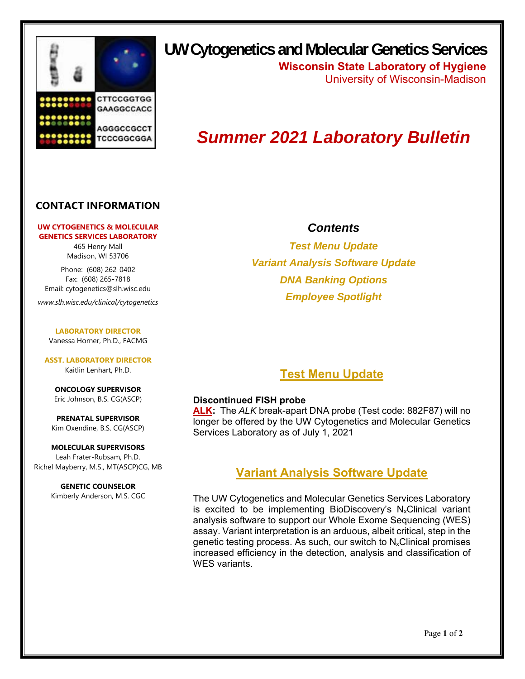

**UW Cytogenetics and Molecular Genetics Services**

**Wisconsin State Laboratory of Hygiene** University of Wisconsin-Madison

# *Summer 2021 Laboratory Bulletin*

### **CONTACT INFORMATION**

#### **UW CYTOGENETICS & MOLECULAR GENETICS SERVICES LABORATORY**

465 Henry Mall Madison, WI 53706

Phone: (608) 262-0402 Fax: (608) 265-7818 Email: cytogenetics@slh.wisc.edu

*www.slh.wisc.edu/clinical/cytogenetics* 

**LABORATORY DIRECTOR** Vanessa Horner, Ph.D., FACMG

**ASST. LABORATORY DIRECTOR**  Kaitlin Lenhart, Ph.D.

**ONCOLOGY SUPERVISOR**  Eric Johnson, B.S. CG(ASCP)

**PRENATAL SUPERVISOR**  Kim Oxendine, B.S. CG(ASCP)

**MOLECULAR SUPERVISORS**  Leah Frater-Rubsam, Ph.D. Richel Mayberry, M.S., MT(ASCP)CG, MB

> **GENETIC COUNSELOR**  Kimberly Anderson, M.S. CGC

### *Contents*

*Test Menu Update Variant Analysis Software Update DNA Banking Options Employee Spotlight* 

## **Test Menu Update**

#### **Discontinued FISH probe**

**ALK:** The *ALK* break-apart DNA probe (Test code: 882F87) will no longer be offered by the UW Cytogenetics and Molecular Genetics Services Laboratory as of July 1, 2021

### **Variant Analysis Software Update**

The UW Cytogenetics and Molecular Genetics Services Laboratory is excited to be implementing BioDiscovery's  $N_x$ Clinical variant analysis software to support our Whole Exome Sequencing (WES) assay. Variant interpretation is an arduous, albeit critical, step in the genetic testing process. As such, our switch to  $N_x$ Clinical promises increased efficiency in the detection, analysis and classification of WES variants.